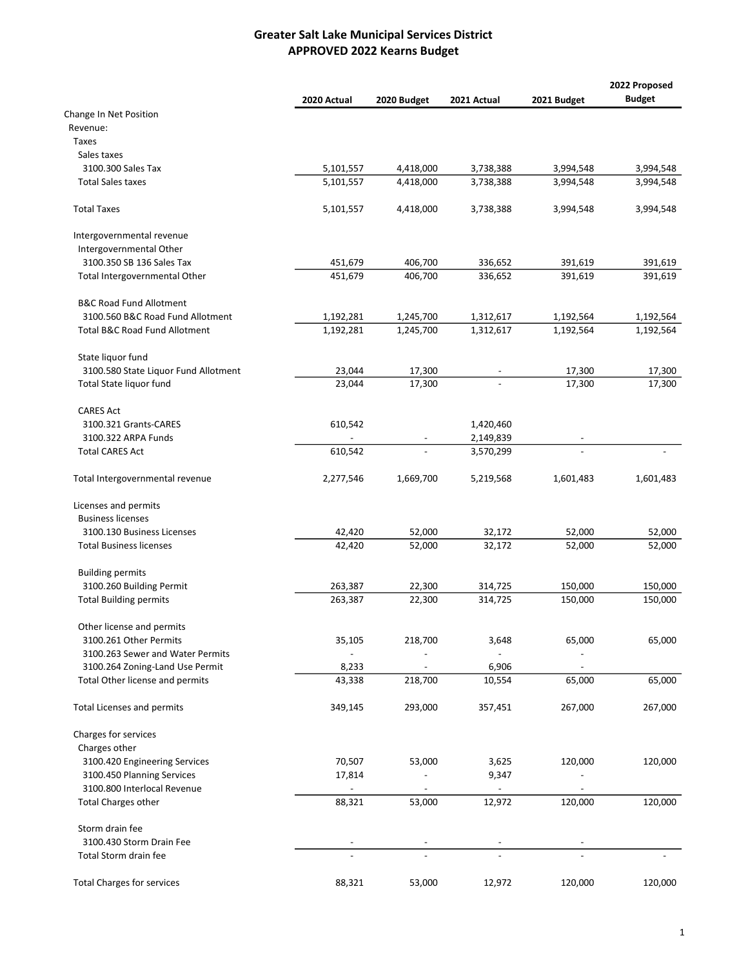|                                      |             |             |             |             | 2022 Proposed |
|--------------------------------------|-------------|-------------|-------------|-------------|---------------|
|                                      | 2020 Actual | 2020 Budget | 2021 Actual | 2021 Budget | <b>Budget</b> |
| Change In Net Position               |             |             |             |             |               |
| Revenue:                             |             |             |             |             |               |
| <b>Taxes</b>                         |             |             |             |             |               |
| Sales taxes                          |             |             |             |             |               |
| 3100.300 Sales Tax                   | 5,101,557   | 4,418,000   | 3,738,388   | 3,994,548   | 3,994,548     |
| <b>Total Sales taxes</b>             | 5,101,557   | 4,418,000   | 3,738,388   | 3,994,548   | 3,994,548     |
| <b>Total Taxes</b>                   | 5,101,557   | 4,418,000   | 3,738,388   | 3,994,548   | 3,994,548     |
| Intergovernmental revenue            |             |             |             |             |               |
| Intergovernmental Other              |             |             |             |             |               |
| 3100.350 SB 136 Sales Tax            | 451,679     | 406,700     | 336,652     | 391,619     | 391,619       |
| Total Intergovernmental Other        | 451,679     | 406,700     | 336,652     | 391,619     | 391,619       |
| <b>B&amp;C Road Fund Allotment</b>   |             |             |             |             |               |
| 3100.560 B&C Road Fund Allotment     | 1,192,281   | 1,245,700   | 1,312,617   | 1,192,564   | 1,192,564     |
| Total B&C Road Fund Allotment        | 1,192,281   | 1,245,700   | 1,312,617   | 1,192,564   | 1,192,564     |
| State liquor fund                    |             |             |             |             |               |
| 3100.580 State Liquor Fund Allotment | 23,044      | 17,300      |             | 17,300      | 17,300        |
| Total State liquor fund              | 23,044      | 17,300      |             | 17,300      | 17,300        |
| <b>CARES Act</b>                     |             |             |             |             |               |
| 3100.321 Grants-CARES                | 610,542     |             | 1,420,460   |             |               |
| 3100.322 ARPA Funds                  |             |             | 2,149,839   |             |               |
| <b>Total CARES Act</b>               | 610,542     |             | 3,570,299   |             |               |
| Total Intergovernmental revenue      | 2,277,546   | 1,669,700   | 5,219,568   | 1,601,483   | 1,601,483     |
| Licenses and permits                 |             |             |             |             |               |
| <b>Business licenses</b>             |             |             |             |             |               |
| 3100.130 Business Licenses           | 42,420      | 52,000      | 32,172      | 52,000      | 52,000        |
| <b>Total Business licenses</b>       | 42,420      | 52,000      | 32,172      | 52,000      | 52,000        |
| <b>Building permits</b>              |             |             |             |             |               |
| 3100.260 Building Permit             | 263,387     | 22,300      | 314,725     | 150,000     | 150,000       |
| <b>Total Building permits</b>        | 263,387     | 22,300      | 314,725     | 150,000     | 150,000       |
| Other license and permits            |             |             |             |             |               |
| 3100.261 Other Permits               | 35,105      | 218,700     | 3,648       | 65,000      | 65,000        |
| 3100.263 Sewer and Water Permits     |             |             |             |             |               |
| 3100.264 Zoning-Land Use Permit      | 8,233       |             | 6,906       |             |               |
| Total Other license and permits      | 43,338      | 218,700     | 10,554      | 65,000      | 65,000        |
| <b>Total Licenses and permits</b>    | 349,145     | 293,000     | 357,451     | 267,000     | 267,000       |
| Charges for services                 |             |             |             |             |               |
| Charges other                        |             |             |             |             |               |
| 3100.420 Engineering Services        | 70,507      | 53,000      | 3,625       | 120,000     | 120,000       |
| 3100.450 Planning Services           | 17,814      |             | 9,347       |             |               |
| 3100.800 Interlocal Revenue          |             |             |             |             |               |
| <b>Total Charges other</b>           | 88,321      | 53,000      | 12,972      | 120,000     | 120,000       |
| Storm drain fee                      |             |             |             |             |               |
| 3100.430 Storm Drain Fee             |             |             |             |             |               |
| Total Storm drain fee                |             |             |             |             |               |
| <b>Total Charges for services</b>    | 88,321      | 53,000      | 12,972      | 120,000     | 120,000       |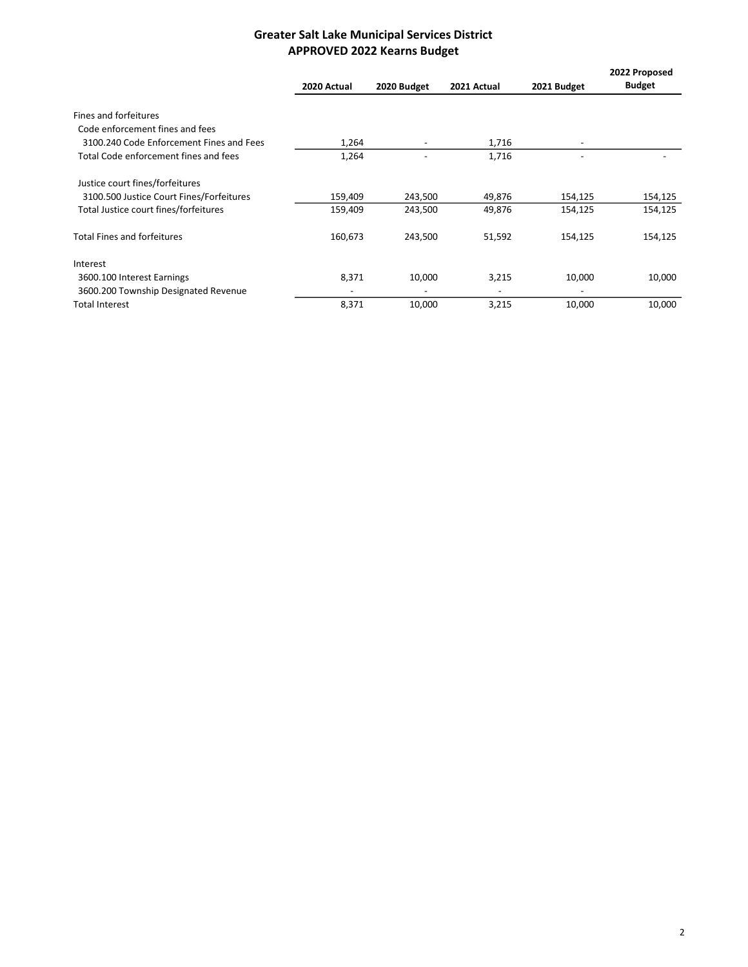|                                          | 2020 Actual              | 2020 Budget              | 2021 Actual              | 2021 Budget              | 2022 Proposed<br><b>Budget</b> |
|------------------------------------------|--------------------------|--------------------------|--------------------------|--------------------------|--------------------------------|
| Fines and forfeitures                    |                          |                          |                          |                          |                                |
| Code enforcement fines and fees          |                          |                          |                          |                          |                                |
| 3100.240 Code Enforcement Fines and Fees | 1,264                    | $\overline{\phantom{a}}$ | 1,716                    | $\overline{\phantom{a}}$ |                                |
| Total Code enforcement fines and fees    | 1,264                    |                          | 1,716                    |                          |                                |
| Justice court fines/forfeitures          |                          |                          |                          |                          |                                |
| 3100.500 Justice Court Fines/Forfeitures | 159,409                  | 243,500                  | 49,876                   | 154,125                  | 154,125                        |
| Total Justice court fines/forfeitures    | 159,409                  | 243,500                  | 49,876                   | 154,125                  | 154,125                        |
| <b>Total Fines and forfeitures</b>       | 160,673                  | 243,500                  | 51,592                   | 154,125                  | 154,125                        |
| Interest                                 |                          |                          |                          |                          |                                |
| 3600.100 Interest Earnings               | 8,371                    | 10,000                   | 3,215                    | 10,000                   | 10,000                         |
| 3600.200 Township Designated Revenue     | $\overline{\phantom{a}}$ | $\overline{\phantom{a}}$ | $\overline{\phantom{a}}$ | $\overline{\phantom{a}}$ |                                |
| <b>Total Interest</b>                    | 8,371                    | 10,000                   | 3,215                    | 10,000                   | 10,000                         |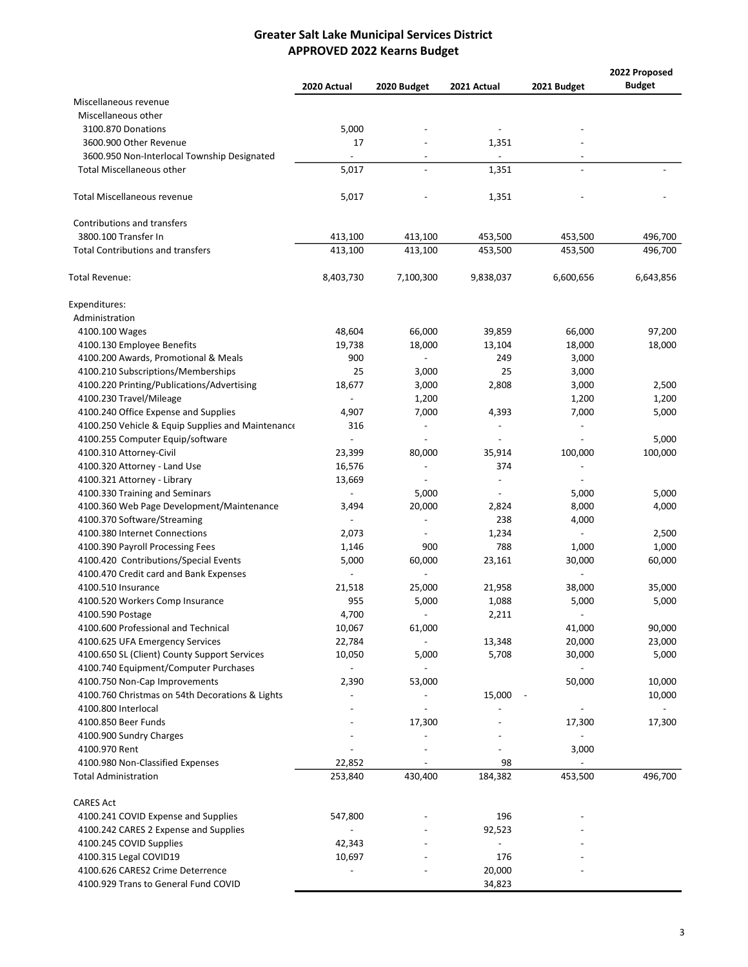|                                                   |                          |                          |                          |                              | 2022 Proposed |
|---------------------------------------------------|--------------------------|--------------------------|--------------------------|------------------------------|---------------|
|                                                   | 2020 Actual              | 2020 Budget              | 2021 Actual              | 2021 Budget                  | <b>Budget</b> |
| Miscellaneous revenue                             |                          |                          |                          |                              |               |
| Miscellaneous other                               |                          |                          |                          |                              |               |
| 3100.870 Donations                                | 5,000                    |                          | $\overline{\phantom{a}}$ |                              |               |
| 3600.900 Other Revenue                            | 17                       |                          | 1,351                    |                              |               |
| 3600.950 Non-Interlocal Township Designated       |                          |                          |                          |                              |               |
| <b>Total Miscellaneous other</b>                  | 5,017                    |                          | 1,351                    |                              |               |
| <b>Total Miscellaneous revenue</b>                | 5,017                    |                          | 1,351                    |                              |               |
| Contributions and transfers                       |                          |                          |                          |                              |               |
| 3800.100 Transfer In                              | 413,100                  | 413,100                  | 453,500                  | 453,500                      | 496,700       |
| <b>Total Contributions and transfers</b>          | 413,100                  | 413,100                  | 453,500                  | 453,500                      | 496,700       |
| Total Revenue:                                    | 8,403,730                | 7,100,300                | 9,838,037                | 6,600,656                    | 6,643,856     |
| Expenditures:                                     |                          |                          |                          |                              |               |
| Administration                                    |                          |                          |                          |                              |               |
| 4100.100 Wages                                    | 48,604                   | 66,000                   | 39,859                   | 66,000                       | 97,200        |
| 4100.130 Employee Benefits                        | 19,738                   | 18,000                   | 13,104                   | 18,000                       | 18,000        |
| 4100.200 Awards, Promotional & Meals              | 900                      |                          | 249                      | 3,000                        |               |
| 4100.210 Subscriptions/Memberships                | 25                       | 3,000                    | 25                       | 3,000                        |               |
| 4100.220 Printing/Publications/Advertising        | 18,677                   | 3,000                    | 2,808                    | 3,000                        | 2,500         |
| 4100.230 Travel/Mileage                           |                          | 1,200                    |                          | 1,200                        | 1,200         |
| 4100.240 Office Expense and Supplies              | 4,907                    | 7,000                    | 4,393                    | 7,000                        | 5,000         |
| 4100.250 Vehicle & Equip Supplies and Maintenance | 316                      |                          |                          |                              |               |
| 4100.255 Computer Equip/software                  | $\overline{a}$           |                          |                          |                              | 5,000         |
| 4100.310 Attorney-Civil                           | 23,399                   | 80,000                   | 35,914                   | 100,000                      | 100,000       |
|                                                   |                          |                          | 374                      | $\qquad \qquad \blacksquare$ |               |
| 4100.320 Attorney - Land Use                      | 16,576                   | $\overline{\phantom{a}}$ |                          |                              |               |
| 4100.321 Attorney - Library                       | 13,669                   |                          | $\overline{a}$           |                              |               |
| 4100.330 Training and Seminars                    | $\overline{\phantom{a}}$ | 5,000                    | $\overline{\phantom{a}}$ | 5,000                        | 5,000         |
| 4100.360 Web Page Development/Maintenance         | 3,494                    | 20,000                   | 2,824                    | 8,000                        | 4,000         |
| 4100.370 Software/Streaming                       | $\overline{a}$           | $\overline{a}$           | 238                      | 4,000                        |               |
| 4100.380 Internet Connections                     | 2,073                    | $\overline{\phantom{a}}$ | 1,234                    | $\overline{\phantom{a}}$     | 2,500         |
| 4100.390 Payroll Processing Fees                  | 1,146                    | 900                      | 788                      | 1,000                        | 1,000         |
| 4100.420 Contributions/Special Events             | 5,000                    | 60,000                   | 23,161                   | 30,000                       | 60,000        |
| 4100.470 Credit card and Bank Expenses            |                          |                          |                          |                              |               |
| 4100.510 Insurance                                | 21,518                   | 25,000                   | 21,958                   | 38,000                       | 35,000        |
| 4100.520 Workers Comp Insurance                   | 955                      | 5,000                    | 1,088                    | 5,000                        | 5,000         |
| 4100.590 Postage                                  | 4,700                    |                          | 2,211                    |                              |               |
| 4100.600 Professional and Technical               | 10,067                   | 61,000                   |                          | 41,000                       | 90,000        |
| 4100.625 UFA Emergency Services                   | 22,784                   |                          | 13,348                   | 20,000                       | 23,000        |
| 4100.650 SL (Client) County Support Services      | 10,050                   | 5,000                    | 5,708                    | 30,000                       | 5,000         |
| 4100.740 Equipment/Computer Purchases             | $\sim$                   | $\overline{\phantom{a}}$ |                          | $\overline{\phantom{a}}$     |               |
| 4100.750 Non-Cap Improvements                     | 2,390                    | 53,000                   |                          | 50,000                       | 10,000        |
| 4100.760 Christmas on 54th Decorations & Lights   | $\overline{\phantom{a}}$ |                          | 15,000                   |                              | 10,000        |
| 4100.800 Interlocal                               |                          |                          |                          | $\overline{\phantom{a}}$     |               |
| 4100.850 Beer Funds                               |                          | 17,300                   |                          | 17,300                       | 17,300        |
| 4100.900 Sundry Charges                           |                          |                          |                          |                              |               |
| 4100.970 Rent                                     |                          |                          |                          | 3,000                        |               |
| 4100.980 Non-Classified Expenses                  | 22,852                   |                          | 98                       |                              |               |
| <b>Total Administration</b>                       | 253,840                  | 430,400                  | 184,382                  | 453,500                      | 496,700       |
|                                                   |                          |                          |                          |                              |               |
| <b>CARES Act</b>                                  |                          |                          |                          |                              |               |
| 4100.241 COVID Expense and Supplies               | 547,800                  |                          | 196                      |                              |               |
| 4100.242 CARES 2 Expense and Supplies             | $\overline{\phantom{a}}$ |                          | 92,523                   |                              |               |
| 4100.245 COVID Supplies                           | 42,343                   |                          | $\overline{\phantom{a}}$ |                              |               |
| 4100.315 Legal COVID19                            | 10,697                   |                          | 176                      |                              |               |
| 4100.626 CARES2 Crime Deterrence                  | $\overline{\phantom{a}}$ |                          | 20,000                   |                              |               |
| 4100.929 Trans to General Fund COVID              |                          |                          | 34,823                   |                              |               |